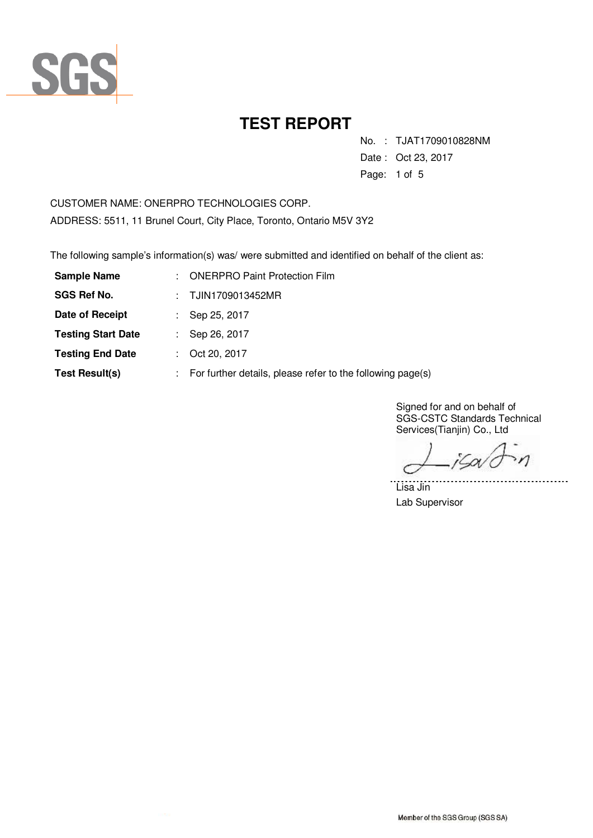

No. : TJAT1709010828NM

Date : Oct 23, 2017

Page: 1 of 5

CUSTOMER NAME: ONERPRO TECHNOLOGIES CORP. ADDRESS: 5511, 11 Brunel Court, City Place, Toronto, Ontario M5V 3Y2

The following sample's information(s) was/ were submitted and identified on behalf of the client as:

| <b>Sample Name</b>        | t. | <b>ONERPRO Paint Protection Film</b>                       |  |
|---------------------------|----|------------------------------------------------------------|--|
| <b>SGS Ref No.</b>        |    | : TJIN1709013452MR                                         |  |
| Date of Receipt           |    | : Sep 25, 2017                                             |  |
| <b>Testing Start Date</b> |    | Sep 26, 2017                                               |  |
| <b>Testing End Date</b>   |    | Oct 20, 2017                                               |  |
| <b>Test Result(s)</b>     |    | For further details, please refer to the following page(s) |  |

Signed for and on behalf of SGS-CSTC Standards Technical Services(Tianjin) Co., Ltd

 $\eta$ iSov

. . . . . . . . .

Lisa Jin Lab Supervisor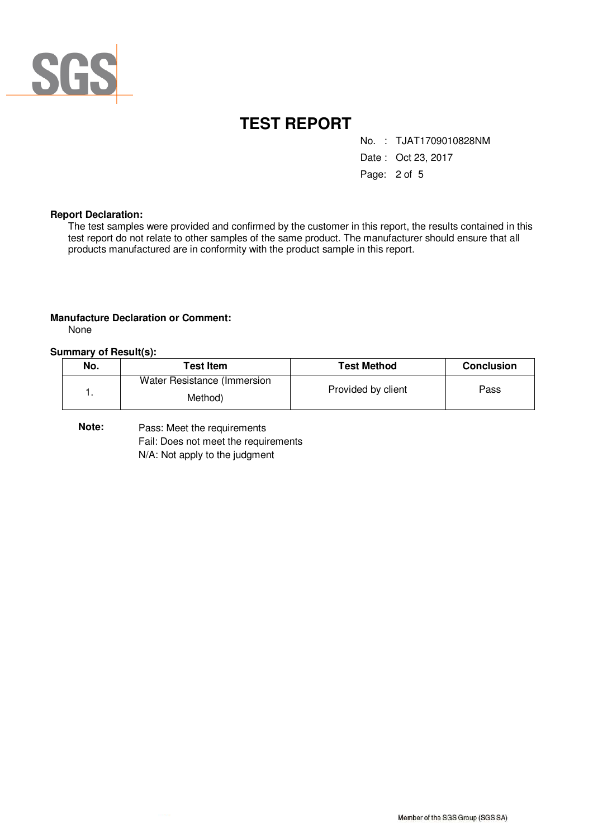

No. : TJAT1709010828NM

Date : Oct 23, 2017

Page: 2 of 5

#### **Report Declaration:**

The test samples were provided and confirmed by the customer in this report, the results contained in this test report do not relate to other samples of the same product. The manufacturer should ensure that all products manufactured are in conformity with the product sample in this report.

#### **Manufacture Declaration or Comment:**

None

#### **Summary of Result(s):**

| No. | <b>Test Item</b>                       | <b>Test Method</b> | <b>Conclusion</b> |
|-----|----------------------------------------|--------------------|-------------------|
|     | Water Resistance (Immersion<br>Method) | Provided by client | Pass              |

Pass: Meet the requirements Fail: Does not meet the requirements N/A: Not apply to the judgment **Note:**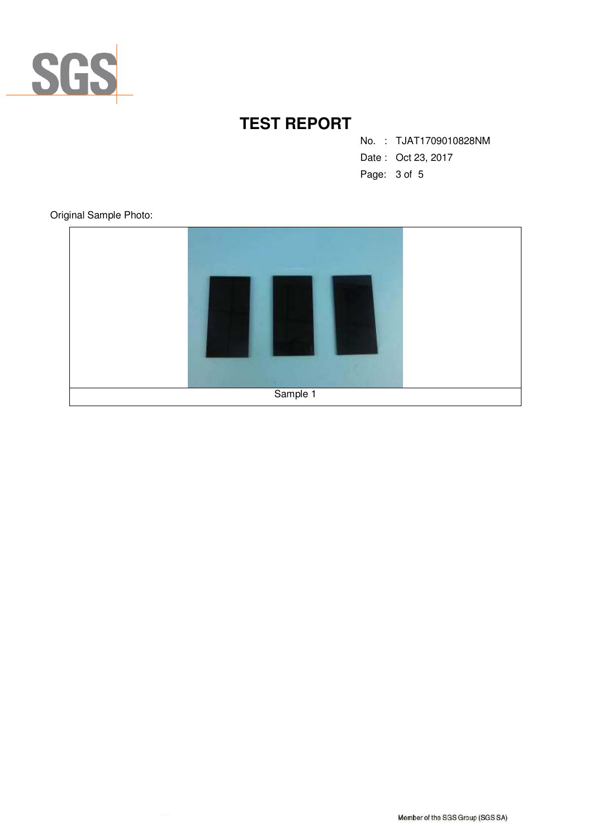

No. : TJAT1709010828NM

- Date : Oct 23, 2017
- Page: 3 of 5

Original Sample Photo:

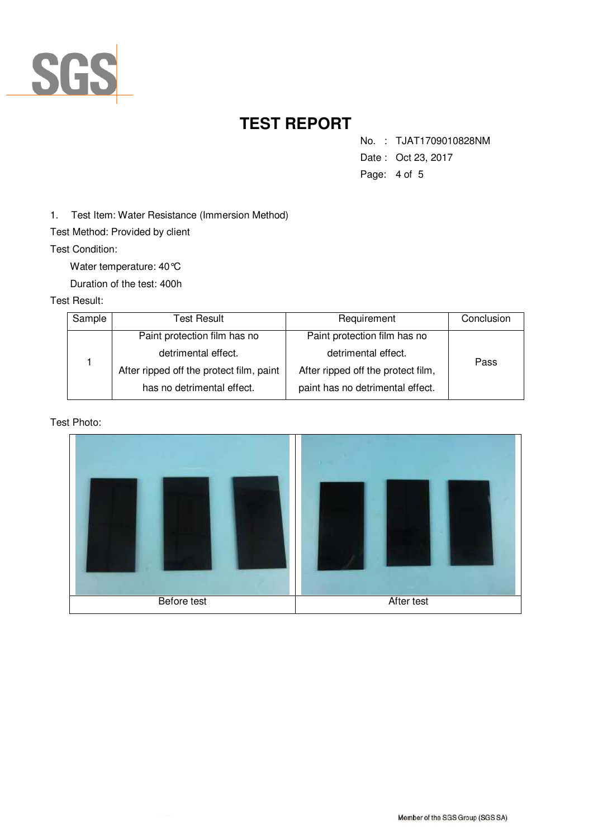

- No. : TJAT1709010828NM
- Date : Oct 23, 2017
- Page: 4 of 5

1. Test Item: Water Resistance (Immersion Method)

Test Method: Provided by client

Test Condition:

Water temperature: 40°C

Duration of the test: 400h

### Test Result:

| Sample | Test Result                              | Requirement                        | Conclusion |
|--------|------------------------------------------|------------------------------------|------------|
|        | Paint protection film has no             | Paint protection film has no       |            |
|        | detrimental effect.                      | detrimental effect.                | Pass       |
|        | After ripped off the protect film, paint | After ripped off the protect film, |            |
|        | has no detrimental effect.               | paint has no detrimental effect.   |            |

#### Test Photo: